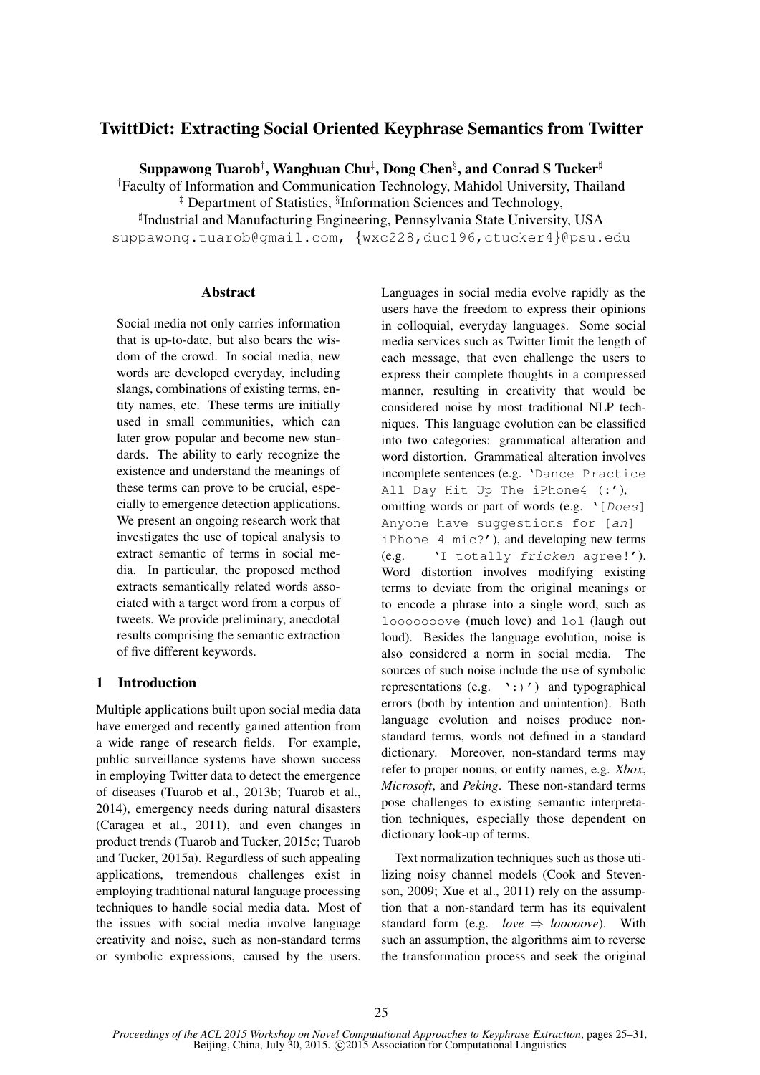# TwittDict: Extracting Social Oriented Keyphrase Semantics from Twitter

Suppawong Tuarob† , Wanghuan Chu‡ , Dong Chen§ , and Conrad S Tucker<sup>♯</sup>

†Faculty of Information and Communication Technology, Mahidol University, Thailand

‡ Department of Statistics, § Information Sciences and Technology,

♯ Industrial and Manufacturing Engineering, Pennsylvania State University, USA suppawong.tuarob@gmail.com, {wxc228,duc196,ctucker4}@psu.edu

# Abstract

Social media not only carries information that is up-to-date, but also bears the wisdom of the crowd. In social media, new words are developed everyday, including slangs, combinations of existing terms, entity names, etc. These terms are initially used in small communities, which can later grow popular and become new standards. The ability to early recognize the existence and understand the meanings of these terms can prove to be crucial, especially to emergence detection applications. We present an ongoing research work that investigates the use of topical analysis to extract semantic of terms in social media. In particular, the proposed method extracts semantically related words associated with a target word from a corpus of tweets. We provide preliminary, anecdotal results comprising the semantic extraction of five different keywords.

# 1 Introduction

Multiple applications built upon social media data have emerged and recently gained attention from a wide range of research fields. For example, public surveillance systems have shown success in employing Twitter data to detect the emergence of diseases (Tuarob et al., 2013b; Tuarob et al., 2014), emergency needs during natural disasters (Caragea et al., 2011), and even changes in product trends (Tuarob and Tucker, 2015c; Tuarob and Tucker, 2015a). Regardless of such appealing applications, tremendous challenges exist in employing traditional natural language processing techniques to handle social media data. Most of the issues with social media involve language creativity and noise, such as non-standard terms or symbolic expressions, caused by the users.

Languages in social media evolve rapidly as the users have the freedom to express their opinions in colloquial, everyday languages. Some social media services such as Twitter limit the length of each message, that even challenge the users to express their complete thoughts in a compressed manner, resulting in creativity that would be considered noise by most traditional NLP techniques. This language evolution can be classified into two categories: grammatical alteration and word distortion. Grammatical alteration involves incomplete sentences (e.g. 'Dance Practice All Day Hit Up The iPhone4 (:'), omitting words or part of words (e.g.  $\lceil Do \text{es} \rceil$ ) Anyone have suggestions for [an] iPhone 4 mic?'), and developing new terms (e.g. 'I totally fricken agree!'). Word distortion involves modifying existing terms to deviate from the original meanings or to encode a phrase into a single word, such as looooooove (much love) and lol (laugh out loud). Besides the language evolution, noise is also considered a norm in social media. The sources of such noise include the use of symbolic representations  $(e.g. ':)')$  and typographical errors (both by intention and unintention). Both language evolution and noises produce nonstandard terms, words not defined in a standard dictionary. Moreover, non-standard terms may refer to proper nouns, or entity names, e.g. *Xbox*, *Microsoft*, and *Peking*. These non-standard terms pose challenges to existing semantic interpretation techniques, especially those dependent on dictionary look-up of terms.

Text normalization techniques such as those utilizing noisy channel models (Cook and Stevenson, 2009; Xue et al., 2011) rely on the assumption that a non-standard term has its equivalent standard form (e.g. *love*  $\Rightarrow$  *looooove*). With such an assumption, the algorithms aim to reverse the transformation process and seek the original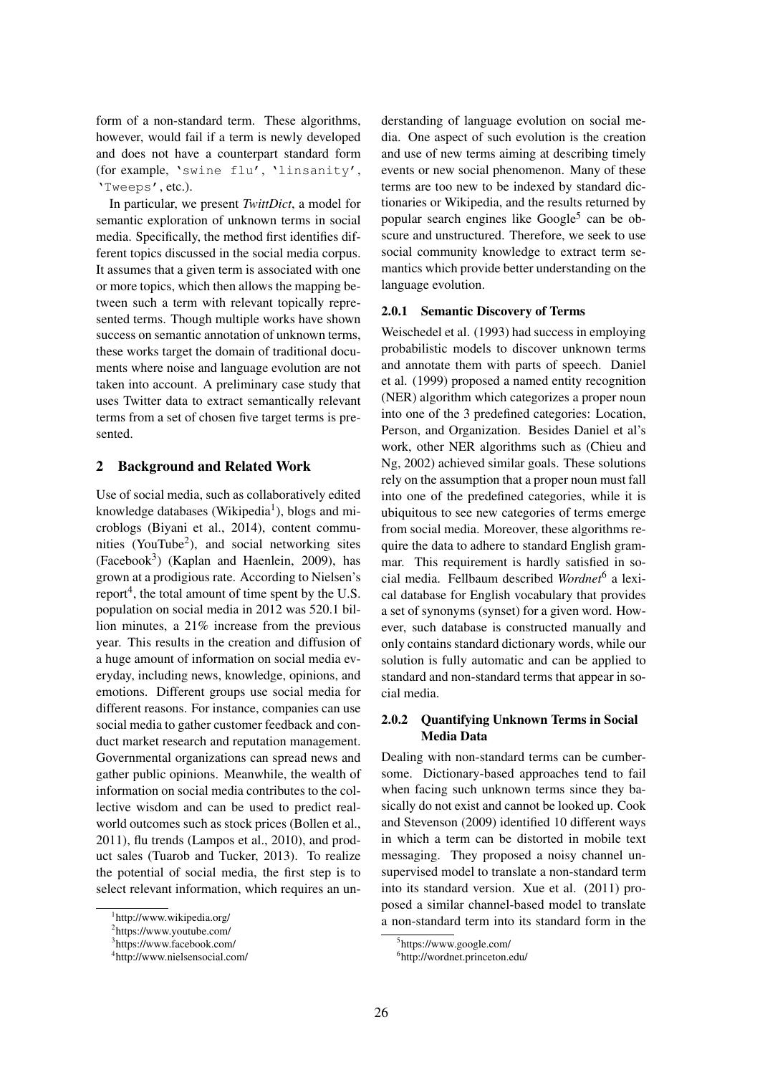form of a non-standard term. These algorithms, however, would fail if a term is newly developed and does not have a counterpart standard form (for example, 'swine flu', 'linsanity', 'Tweeps', etc.).

In particular, we present *TwittDict*, a model for semantic exploration of unknown terms in social media. Specifically, the method first identifies different topics discussed in the social media corpus. It assumes that a given term is associated with one or more topics, which then allows the mapping between such a term with relevant topically represented terms. Though multiple works have shown success on semantic annotation of unknown terms, these works target the domain of traditional documents where noise and language evolution are not taken into account. A preliminary case study that uses Twitter data to extract semantically relevant terms from a set of chosen five target terms is presented.

## 2 Background and Related Work

Use of social media, such as collaboratively edited knowledge databases (Wikipedia<sup>1</sup>), blogs and microblogs (Biyani et al., 2014), content communities (YouTube<sup>2</sup>), and social networking sites  $(Facebook<sup>3</sup>)$  (Kaplan and Haenlein, 2009), has grown at a prodigious rate. According to Nielsen's report<sup>4</sup>, the total amount of time spent by the U.S. population on social media in 2012 was 520.1 billion minutes, a 21% increase from the previous year. This results in the creation and diffusion of a huge amount of information on social media everyday, including news, knowledge, opinions, and emotions. Different groups use social media for different reasons. For instance, companies can use social media to gather customer feedback and conduct market research and reputation management. Governmental organizations can spread news and gather public opinions. Meanwhile, the wealth of information on social media contributes to the collective wisdom and can be used to predict realworld outcomes such as stock prices (Bollen et al., 2011), flu trends (Lampos et al., 2010), and product sales (Tuarob and Tucker, 2013). To realize the potential of social media, the first step is to select relevant information, which requires an understanding of language evolution on social media. One aspect of such evolution is the creation and use of new terms aiming at describing timely events or new social phenomenon. Many of these terms are too new to be indexed by standard dictionaries or Wikipedia, and the results returned by popular search engines like Google<sup>5</sup> can be obscure and unstructured. Therefore, we seek to use social community knowledge to extract term semantics which provide better understanding on the language evolution.

### 2.0.1 Semantic Discovery of Terms

Weischedel et al. (1993) had success in employing probabilistic models to discover unknown terms and annotate them with parts of speech. Daniel et al. (1999) proposed a named entity recognition (NER) algorithm which categorizes a proper noun into one of the 3 predefined categories: Location, Person, and Organization. Besides Daniel et al's work, other NER algorithms such as (Chieu and Ng, 2002) achieved similar goals. These solutions rely on the assumption that a proper noun must fall into one of the predefined categories, while it is ubiquitous to see new categories of terms emerge from social media. Moreover, these algorithms require the data to adhere to standard English grammar. This requirement is hardly satisfied in social media. Fellbaum described *Wordnet*<sup>6</sup> a lexical database for English vocabulary that provides a set of synonyms (synset) for a given word. However, such database is constructed manually and only contains standard dictionary words, while our solution is fully automatic and can be applied to standard and non-standard terms that appear in social media.

# 2.0.2 Quantifying Unknown Terms in Social Media Data

Dealing with non-standard terms can be cumbersome. Dictionary-based approaches tend to fail when facing such unknown terms since they basically do not exist and cannot be looked up. Cook and Stevenson (2009) identified 10 different ways in which a term can be distorted in mobile text messaging. They proposed a noisy channel unsupervised model to translate a non-standard term into its standard version. Xue et al. (2011) proposed a similar channel-based model to translate a non-standard term into its standard form in the

<sup>1</sup> http://www.wikipedia.org/

<sup>2</sup> https://www.youtube.com/

<sup>3</sup> https://www.facebook.com/

<sup>4</sup> http://www.nielsensocial.com/

<sup>5</sup> https://www.google.com/

<sup>6</sup> http://wordnet.princeton.edu/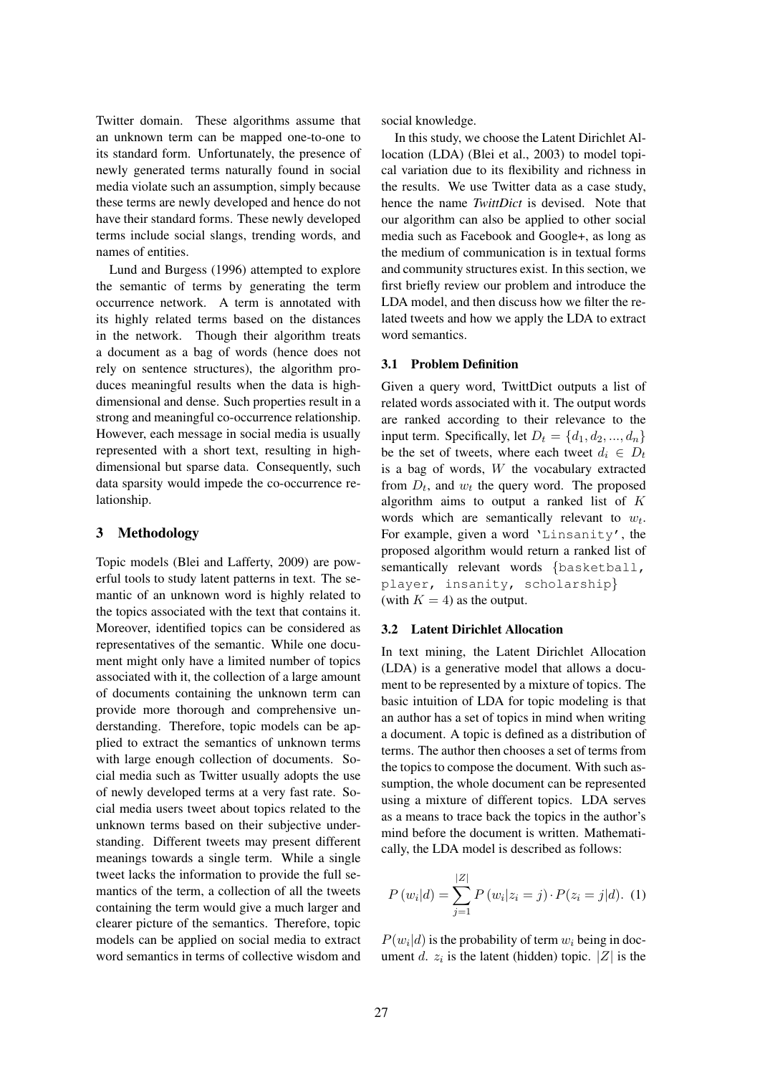Twitter domain. These algorithms assume that an unknown term can be mapped one-to-one to its standard form. Unfortunately, the presence of newly generated terms naturally found in social media violate such an assumption, simply because these terms are newly developed and hence do not have their standard forms. These newly developed terms include social slangs, trending words, and names of entities.

Lund and Burgess (1996) attempted to explore the semantic of terms by generating the term occurrence network. A term is annotated with its highly related terms based on the distances in the network. Though their algorithm treats a document as a bag of words (hence does not rely on sentence structures), the algorithm produces meaningful results when the data is highdimensional and dense. Such properties result in a strong and meaningful co-occurrence relationship. However, each message in social media is usually represented with a short text, resulting in highdimensional but sparse data. Consequently, such data sparsity would impede the co-occurrence relationship.

### 3 Methodology

Topic models (Blei and Lafferty, 2009) are powerful tools to study latent patterns in text. The semantic of an unknown word is highly related to the topics associated with the text that contains it. Moreover, identified topics can be considered as representatives of the semantic. While one document might only have a limited number of topics associated with it, the collection of a large amount of documents containing the unknown term can provide more thorough and comprehensive understanding. Therefore, topic models can be applied to extract the semantics of unknown terms with large enough collection of documents. Social media such as Twitter usually adopts the use of newly developed terms at a very fast rate. Social media users tweet about topics related to the unknown terms based on their subjective understanding. Different tweets may present different meanings towards a single term. While a single tweet lacks the information to provide the full semantics of the term, a collection of all the tweets containing the term would give a much larger and clearer picture of the semantics. Therefore, topic models can be applied on social media to extract word semantics in terms of collective wisdom and

social knowledge.

In this study, we choose the Latent Dirichlet Allocation (LDA) (Blei et al., 2003) to model topical variation due to its flexibility and richness in the results. We use Twitter data as a case study, hence the name *TwittDict* is devised. Note that our algorithm can also be applied to other social media such as Facebook and Google+, as long as the medium of communication is in textual forms and community structures exist. In this section, we first briefly review our problem and introduce the LDA model, and then discuss how we filter the related tweets and how we apply the LDA to extract word semantics.

#### 3.1 Problem Definition

Given a query word, TwittDict outputs a list of related words associated with it. The output words are ranked according to their relevance to the input term. Specifically, let  $D_t = \{d_1, d_2, ..., d_n\}$ be the set of tweets, where each tweet  $d_i \in D_t$ is a bag of words,  $W$  the vocabulary extracted from  $D_t$ , and  $w_t$  the query word. The proposed algorithm aims to output a ranked list of  $K$ words which are semantically relevant to  $w_t$ . For example, given a word 'Linsanity', the proposed algorithm would return a ranked list of semantically relevant words {basketball, player, insanity, scholarship} (with  $K = 4$ ) as the output.

#### 3.2 Latent Dirichlet Allocation

In text mining, the Latent Dirichlet Allocation (LDA) is a generative model that allows a document to be represented by a mixture of topics. The basic intuition of LDA for topic modeling is that an author has a set of topics in mind when writing a document. A topic is defined as a distribution of terms. The author then chooses a set of terms from the topics to compose the document. With such assumption, the whole document can be represented using a mixture of different topics. LDA serves as a means to trace back the topics in the author's mind before the document is written. Mathematically, the LDA model is described as follows:

$$
P(w_i|d) = \sum_{j=1}^{|Z|} P(w_i|z_i = j) \cdot P(z_i = j|d). \tag{1}
$$

 $P(w_i|d)$  is the probability of term  $w_i$  being in document d.  $z_i$  is the latent (hidden) topic. |Z| is the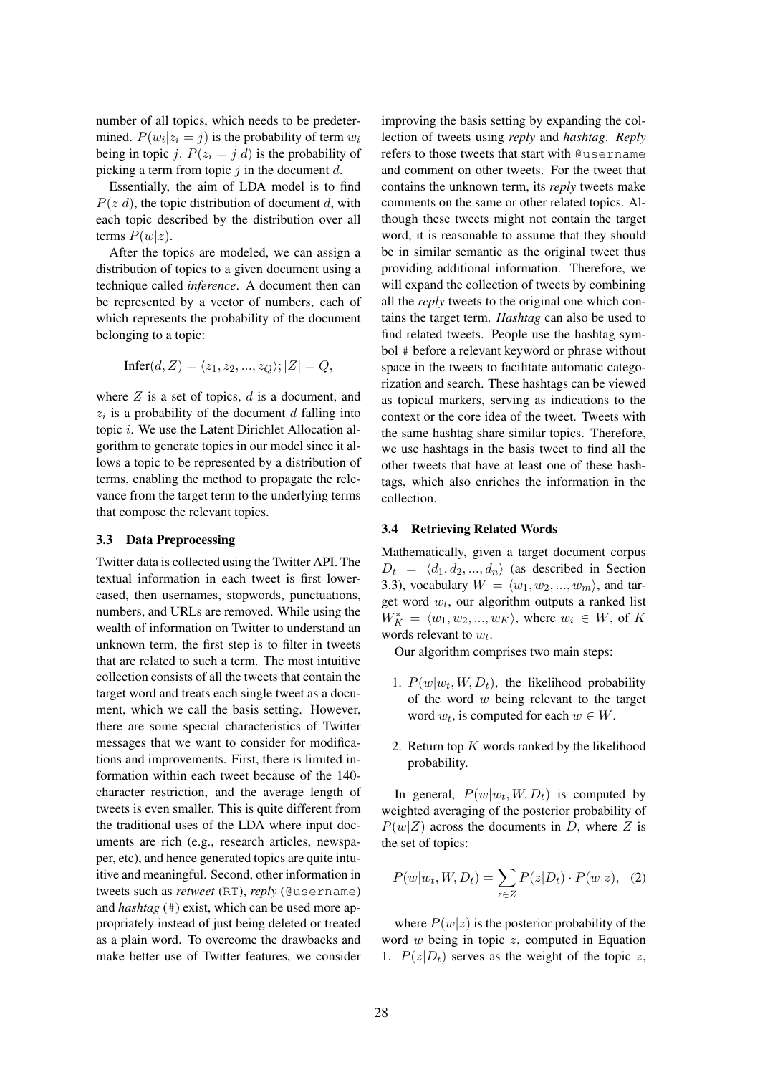number of all topics, which needs to be predetermined.  $P(w_i | z_i = j)$  is the probability of term  $w_i$ being in topic *i*.  $P(z_i = j|d)$  is the probability of picking a term from topic  $j$  in the document  $d$ .

Essentially, the aim of LDA model is to find  $P(z|d)$ , the topic distribution of document d, with each topic described by the distribution over all terms  $P(w|z)$ .

After the topics are modeled, we can assign a distribution of topics to a given document using a technique called *inference*. A document then can be represented by a vector of numbers, each of which represents the probability of the document belonging to a topic:

$$
Infer(d, Z) = \langle z_1, z_2, ..., z_Q \rangle; |Z| = Q,
$$

where  $Z$  is a set of topics,  $d$  is a document, and  $z_i$  is a probability of the document  $d$  falling into topic i. We use the Latent Dirichlet Allocation algorithm to generate topics in our model since it allows a topic to be represented by a distribution of terms, enabling the method to propagate the relevance from the target term to the underlying terms that compose the relevant topics.

#### 3.3 Data Preprocessing

Twitter data is collected using the Twitter API. The textual information in each tweet is first lowercased, then usernames, stopwords, punctuations, numbers, and URLs are removed. While using the wealth of information on Twitter to understand an unknown term, the first step is to filter in tweets that are related to such a term. The most intuitive collection consists of all the tweets that contain the target word and treats each single tweet as a document, which we call the basis setting. However, there are some special characteristics of Twitter messages that we want to consider for modifications and improvements. First, there is limited information within each tweet because of the 140 character restriction, and the average length of tweets is even smaller. This is quite different from the traditional uses of the LDA where input documents are rich (e.g., research articles, newspaper, etc), and hence generated topics are quite intuitive and meaningful. Second, other information in tweets such as *retweet* (RT), *reply* (@username) and *hashtag* (#) exist, which can be used more appropriately instead of just being deleted or treated as a plain word. To overcome the drawbacks and make better use of Twitter features, we consider

improving the basis setting by expanding the collection of tweets using *reply* and *hashtag*. *Reply* refers to those tweets that start with @username and comment on other tweets. For the tweet that contains the unknown term, its *reply* tweets make comments on the same or other related topics. Although these tweets might not contain the target word, it is reasonable to assume that they should be in similar semantic as the original tweet thus providing additional information. Therefore, we will expand the collection of tweets by combining all the *reply* tweets to the original one which contains the target term. *Hashtag* can also be used to find related tweets. People use the hashtag symbol # before a relevant keyword or phrase without space in the tweets to facilitate automatic categorization and search. These hashtags can be viewed as topical markers, serving as indications to the context or the core idea of the tweet. Tweets with the same hashtag share similar topics. Therefore, we use hashtags in the basis tweet to find all the other tweets that have at least one of these hashtags, which also enriches the information in the collection.

#### 3.4 Retrieving Related Words

Mathematically, given a target document corpus  $D_t = \langle d_1, d_2, ..., d_n \rangle$  (as described in Section 3.3), vocabulary  $W = \langle w_1, w_2, ..., w_m \rangle$ , and target word  $w_t$ , our algorithm outputs a ranked list  $W_K^* = \langle w_1, w_2, ..., w_K \rangle$ , where  $w_i \in W$ , of K words relevant to  $w_t$ .

Our algorithm comprises two main steps:

- 1.  $P(w|w_t, W, D_t)$ , the likelihood probability of the word  $w$  being relevant to the target word  $w_t$ , is computed for each  $w \in W$ .
- 2. Return top  $K$  words ranked by the likelihood probability.

In general,  $P(w|w_t, W, D_t)$  is computed by weighted averaging of the posterior probability of  $P(w|Z)$  across the documents in D, where Z is the set of topics:

$$
P(w|w_t, W, D_t) = \sum_{z \in Z} P(z|D_t) \cdot P(w|z), \quad (2)
$$

where  $P(w|z)$  is the posterior probability of the word  $w$  being in topic  $z$ , computed in Equation 1.  $P(z|D_t)$  serves as the weight of the topic z,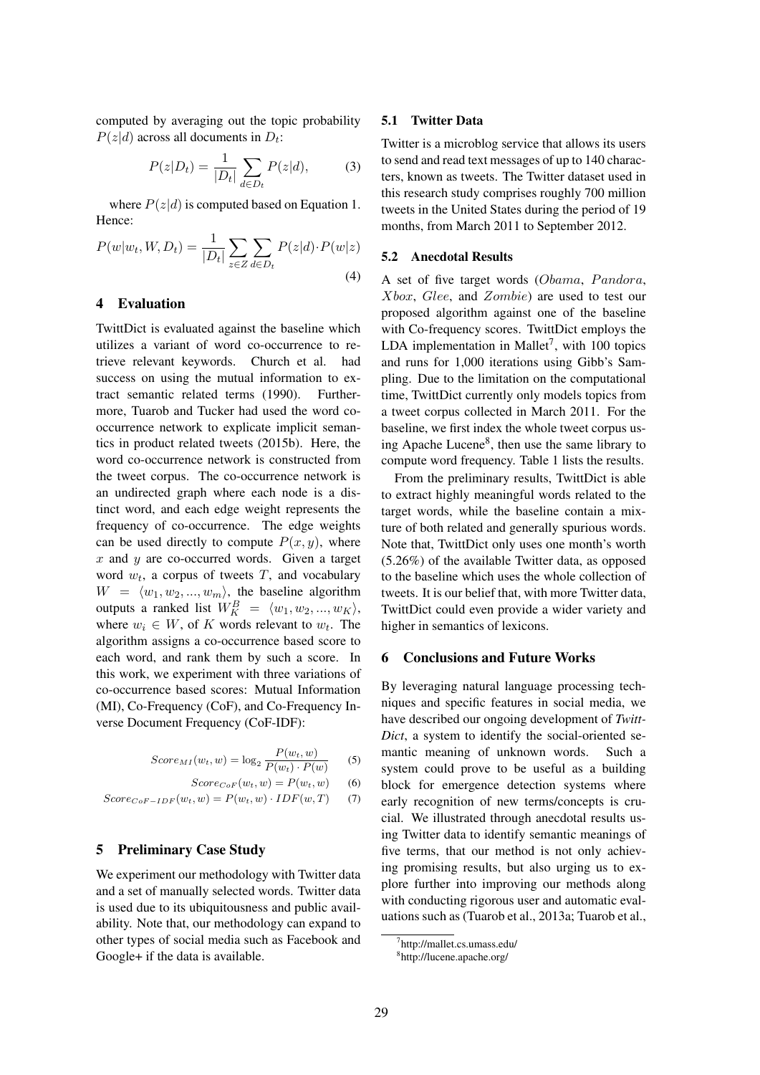computed by averaging out the topic probability  $P(z|d)$  across all documents in  $D_t$ :

$$
P(z|D_t) = \frac{1}{|D_t|} \sum_{d \in D_t} P(z|d), \tag{3}
$$

where  $P(z|d)$  is computed based on Equation 1. Hence:

$$
P(w|w_t, W, D_t) = \frac{1}{|D_t|} \sum_{z \in Z} \sum_{d \in D_t} P(z|d) \cdot P(w|z)
$$
\n(4)

# 4 Evaluation

TwittDict is evaluated against the baseline which utilizes a variant of word co-occurrence to retrieve relevant keywords. Church et al. had success on using the mutual information to extract semantic related terms (1990). Furthermore, Tuarob and Tucker had used the word cooccurrence network to explicate implicit semantics in product related tweets (2015b). Here, the word co-occurrence network is constructed from the tweet corpus. The co-occurrence network is an undirected graph where each node is a distinct word, and each edge weight represents the frequency of co-occurrence. The edge weights can be used directly to compute  $P(x, y)$ , where  $x$  and  $y$  are co-occurred words. Given a target word  $w_t$ , a corpus of tweets T, and vocabulary  $W = \langle w_1, w_2, ..., w_m \rangle$ , the baseline algorithm outputs a ranked list  $W_K^B = \langle w_1, w_2, ..., w_K \rangle$ , where  $w_i \in W$ , of K words relevant to  $w_t$ . The algorithm assigns a co-occurrence based score to each word, and rank them by such a score. In this work, we experiment with three variations of co-occurrence based scores: Mutual Information (MI), Co-Frequency (CoF), and Co-Frequency Inverse Document Frequency (CoF-IDF):

$$
Score_{MI}(w_t, w) = \log_2 \frac{P(w_t, w)}{P(w_t) \cdot P(w)}
$$
 (5)

$$
Score_{CoF}(w_t, w) = P(w_t, w) \qquad (6)
$$

$$
Score_{CoF-IDF}(w_t, w) = P(w_t, w) \cdot IDF(w, T) \tag{7}
$$

### 5 Preliminary Case Study

We experiment our methodology with Twitter data and a set of manually selected words. Twitter data is used due to its ubiquitousness and public availability. Note that, our methodology can expand to other types of social media such as Facebook and Google+ if the data is available.

#### 5.1 Twitter Data

Twitter is a microblog service that allows its users to send and read text messages of up to 140 characters, known as tweets. The Twitter dataset used in this research study comprises roughly 700 million tweets in the United States during the period of 19 months, from March 2011 to September 2012.

#### 5.2 Anecdotal Results

A set of five target words (Obama, Pandora, Xbox, Glee, and Zombie) are used to test our proposed algorithm against one of the baseline with Co-frequency scores. TwittDict employs the LDA implementation in Mallet<sup>7</sup>, with 100 topics and runs for 1,000 iterations using Gibb's Sampling. Due to the limitation on the computational time, TwittDict currently only models topics from a tweet corpus collected in March 2011. For the baseline, we first index the whole tweet corpus using Apache Lucene<sup>8</sup>, then use the same library to compute word frequency. Table 1 lists the results.

From the preliminary results, TwittDict is able to extract highly meaningful words related to the target words, while the baseline contain a mixture of both related and generally spurious words. Note that, TwittDict only uses one month's worth (5.26%) of the available Twitter data, as opposed to the baseline which uses the whole collection of tweets. It is our belief that, with more Twitter data, TwittDict could even provide a wider variety and higher in semantics of lexicons.

### 6 Conclusions and Future Works

By leveraging natural language processing techniques and specific features in social media, we have described our ongoing development of *Twitt-Dict*, a system to identify the social-oriented semantic meaning of unknown words. Such a system could prove to be useful as a building block for emergence detection systems where early recognition of new terms/concepts is crucial. We illustrated through anecdotal results using Twitter data to identify semantic meanings of five terms, that our method is not only achieving promising results, but also urging us to explore further into improving our methods along with conducting rigorous user and automatic evaluations such as (Tuarob et al., 2013a; Tuarob et al.,

<sup>7</sup> http://mallet.cs.umass.edu/

<sup>8</sup> http://lucene.apache.org/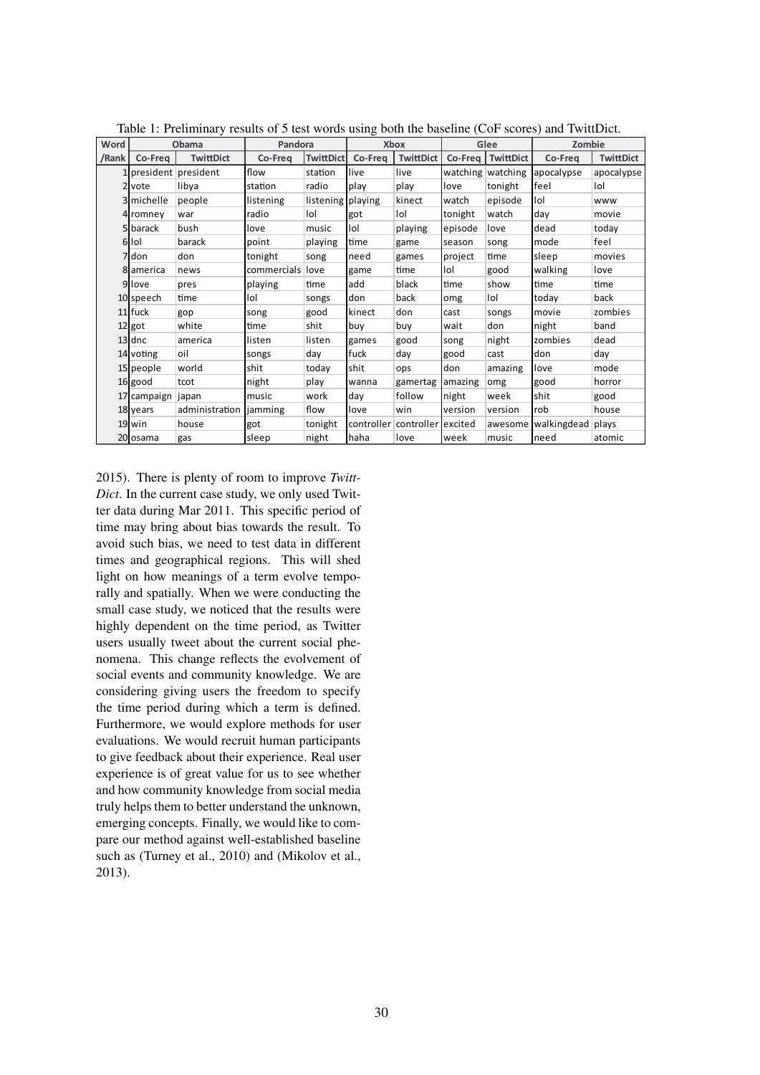| Word  | Obama                 |                  | Pandora     |                     | Xbox    |                               | Glee    |                   | Zombie      |                  |
|-------|-----------------------|------------------|-------------|---------------------|---------|-------------------------------|---------|-------------------|-------------|------------------|
| /Rank | Co-Freq               | <b>TwittDict</b> | Co-Freq     | <b>TwittDict</b>    | Co-Freq | TwittDict                     | Co-Freq | TwittDict         | Co-Freq     | <b>TwittDict</b> |
|       | 1 president president |                  | flow        | station             | live    | live                          |         | watching watching | apocalypse  | apocalypse       |
|       | 2 vote                | libya            | station     | radio               | play    | play                          | llove   | tonight           | feel        | lol              |
|       | 3 michelle            | people           | listening   | listening   playing |         | kinect                        | watch   | episode           | lol         | www              |
|       | 4 romney              | war              | radio       | lol                 | got     | lol                           | tonight | watch             | day         | movie            |
|       | 5 barack              | bush             | love        | music               | lol     | playing                       | episode | love              | dead        | today            |
|       | 6 Iol                 | barack           | point       | playing             | time    | game                          | season  | song              | mode        | feel             |
|       | 7 don                 | don              | tonight     | song                | need    | games                         | project | time              | sleep       | movies           |
|       | 8 america             | news             | commercials | love                | game    | time                          | lol     | good              | walking     | love             |
|       | 9 love                | pres             | playing     | time                | add     | black                         | time    | show              | time        | time             |
|       | 10 speech             | time             | lol         | songs               | don     | back                          | omg     | lol               | todav       | back             |
|       | 11 fuck               | gop              | song        | good                | kinect  | don                           | cast    | songs             | movie       | zombies          |
|       | 12 got                | white            | time        | shit                | buy     | buy                           | wait    | don               | night       | band             |
|       | 13 dnc                | america          | listen      | listen              | games   | good                          | song    | night             | zombies     | dead             |
|       | 14 voting             | oil              | songs       | day                 | fuck    | day                           | good    | cast              | don         | day              |
|       | 15 people             | world            | shit        | today               | shit    | ops                           | don     | amazing           | love        | mode             |
|       | 16 good               | tcot             | night       | play                | wanna   | gamertag                      | amazing | omg               | good        | horror           |
|       | 17 campaign japan     |                  | music       | work                | day     | follow                        | night   | week              | shit        | good             |
|       | 18 years              | administration   | jamming     | flow                | love    | win                           | version | version           | rob         | house            |
|       | 19 win                | house            | got         | tonight             |         | controller controller excited |         | awesome           | walkingdead | plays            |
|       | 20 osama              | gas              | sleep       | night               | haha    | love                          | week    | music             | need        | atomic           |

Table 1: Preliminary results of 5 test words using both the baseline (CoF scores) and TwittDict.

2015). There is plenty of room to improve *Twitt-Dict*. In the current case study, we only used Twitter data during Mar 2011. This specific period of time may bring about bias towards the result. To avoid such bias, we need to test data in different times and geographical regions. This will shed light on how meanings of a term evolve temporally and spatially. When we were conducting the small case study, we noticed that the results were highly dependent on the time period, as Twitter users usually tweet about the current social phenomena. This change reflects the evolvement of social events and community knowledge. We are considering giving users the freedom to specify the time period during which a term is defined. Furthermore, we would explore methods for user evaluations. We would recruit human participants to give feedback about their experience. Real user experience is of great value for us to see whether and how community knowledge from social media truly helps them to better understand the unknown, emerging concepts. Finally, we would like to compare our method against well-established baseline such as (Turney et al., 2010) and (Mikolov et al., 2013).